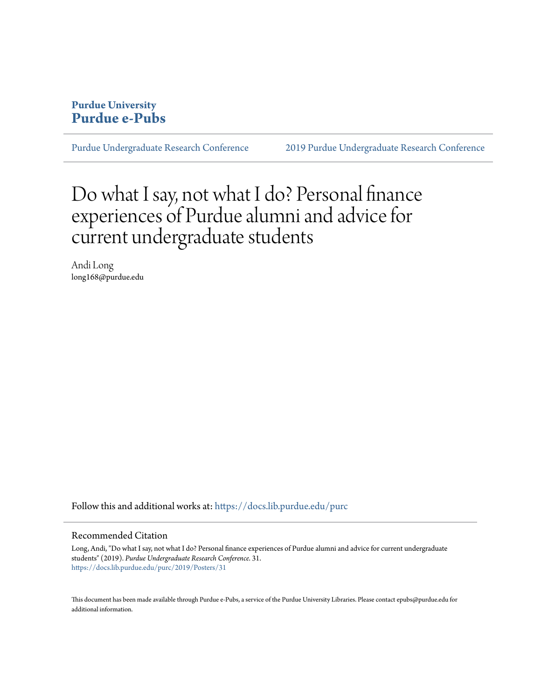#### **Purdue University [Purdue e-Pubs](https://docs.lib.purdue.edu?utm_source=docs.lib.purdue.edu%2Fpurc%2F2019%2FPosters%2F31&utm_medium=PDF&utm_campaign=PDFCoverPages)**

[Purdue Undergraduate Research Conference](https://docs.lib.purdue.edu/purc?utm_source=docs.lib.purdue.edu%2Fpurc%2F2019%2FPosters%2F31&utm_medium=PDF&utm_campaign=PDFCoverPages) [2019 Purdue Undergraduate Research Conference](https://docs.lib.purdue.edu/purc/2019?utm_source=docs.lib.purdue.edu%2Fpurc%2F2019%2FPosters%2F31&utm_medium=PDF&utm_campaign=PDFCoverPages)

#### Do what I say, not what I do? Personal finance experiences of Purdue alumni and advice for current undergraduate students

Andi Long long168@purdue.edu

Follow this and additional works at: [https://docs.lib.purdue.edu/purc](https://docs.lib.purdue.edu/purc?utm_source=docs.lib.purdue.edu%2Fpurc%2F2019%2FPosters%2F31&utm_medium=PDF&utm_campaign=PDFCoverPages)

#### Recommended Citation

Long, Andi, "Do what I say, not what I do? Personal finance experiences of Purdue alumni and advice for current undergraduate students" (2019). *Purdue Undergraduate Research Conference*. 31. [https://docs.lib.purdue.edu/purc/2019/Posters/31](https://docs.lib.purdue.edu/purc/2019/Posters/31?utm_source=docs.lib.purdue.edu%2Fpurc%2F2019%2FPosters%2F31&utm_medium=PDF&utm_campaign=PDFCoverPages)

This document has been made available through Purdue e-Pubs, a service of the Purdue University Libraries. Please contact epubs@purdue.edu for additional information.